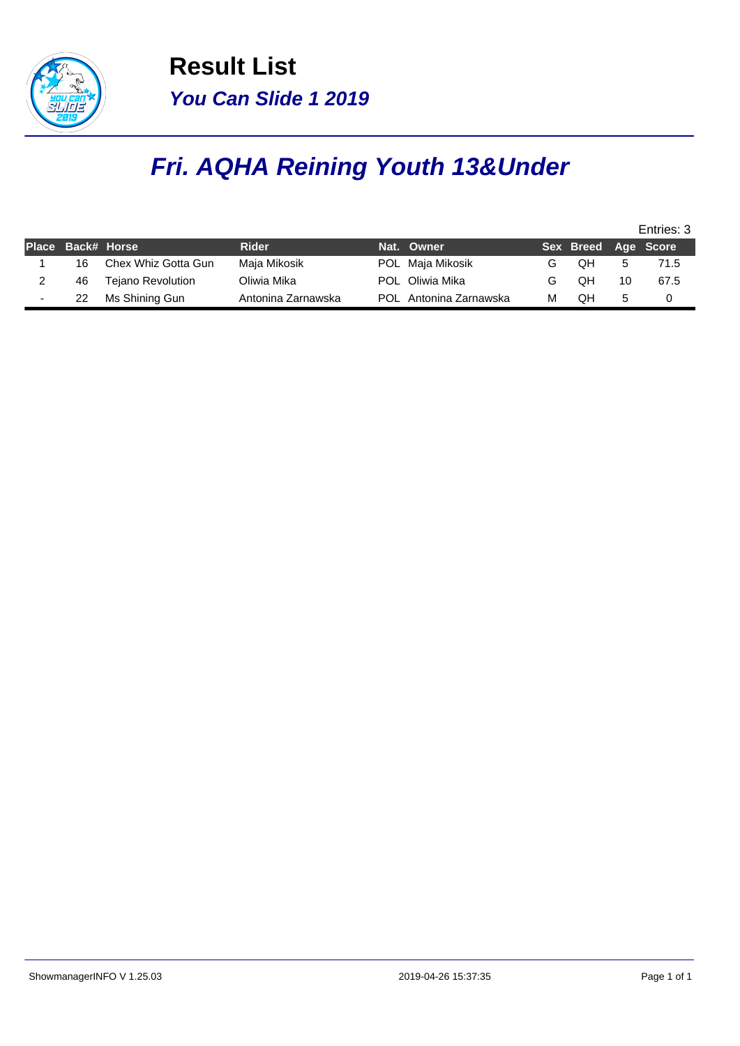

**Result List You Can Slide 1 2019**

## **Fri. AQHA Reining Youth 13&Under**

| Nat. Owner                  |    |                     |
|-----------------------------|----|---------------------|
|                             |    | Sex Breed Age Score |
| POL Maja Mikosik            | OН | 71.5                |
| POL Oliwia Mika             | OН | 10<br>67.5          |
| POL Antonina Zarnawska<br>м | OΗ | 5                   |
|                             |    |                     |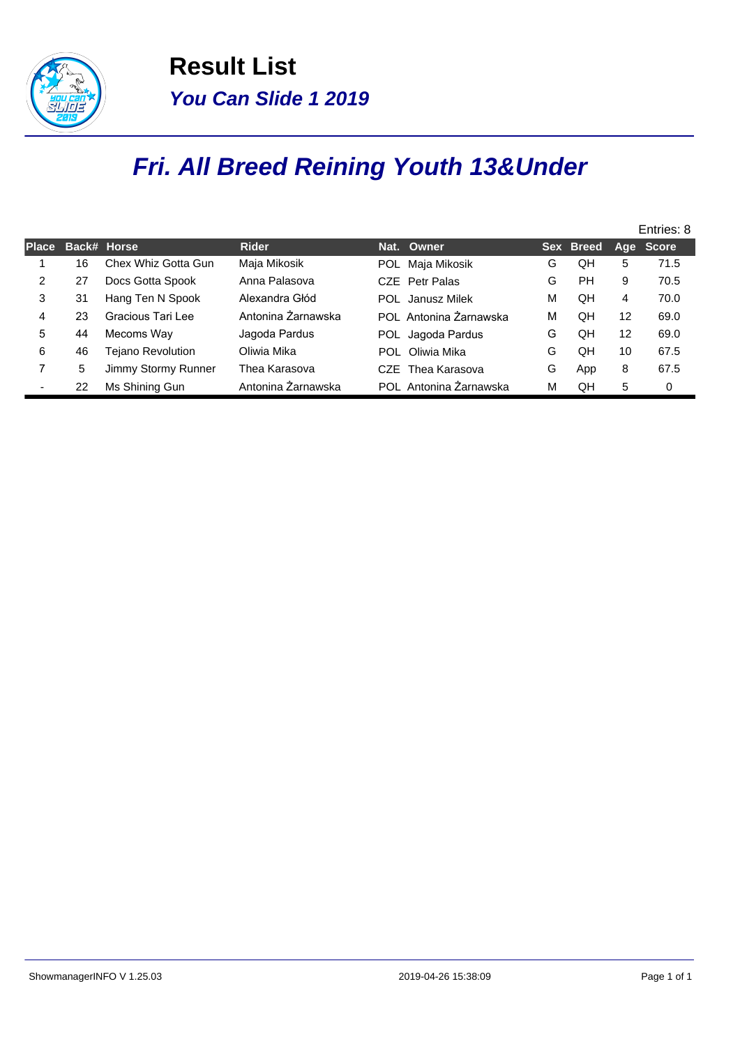

**Result List You Can Slide 1 2019**

## **Fri. All Breed Reining Youth 13&Under**

|              |    |                          |                    |                        |   |           |    | Entries: 8 |
|--------------|----|--------------------------|--------------------|------------------------|---|-----------|----|------------|
| <b>Place</b> |    | Back# Horse              | <b>Rider</b>       | Nat. Owner             |   | Sex Breed |    | Age Score  |
|              | 16 | Chex Whiz Gotta Gun      | Maja Mikosik       | POL Maja Mikosik       | G | QH        | 5  | 71.5       |
| 2            | 27 | Docs Gotta Spook         | Anna Palasova      | CZE Petr Palas         | G | <b>PH</b> | 9  | 70.5       |
| 3            | 31 | Hang Ten N Spook         | Alexandra Głód     | POL Janusz Milek       | м | OΗ        | 4  | 70.0       |
| 4            | 23 | Gracious Tari Lee        | Antonina Żarnawska | POL Antonina Żarnawska | м | OΗ        | 12 | 69.0       |
| 5            | 44 | Mecoms Way               | Jagoda Pardus      | POL Jagoda Pardus      | G | QH        | 12 | 69.0       |
| 6            | 46 | <b>Tejano Revolution</b> | Oliwia Mika        | POL Oliwia Mika        | G | QH        | 10 | 67.5       |
|              | 5  | Jimmy Stormy Runner      | Thea Karasova      | CZE Thea Karasova      | G | App       | 8  | 67.5       |
|              | 22 | Ms Shining Gun           | Antonina Żarnawska | POL Antonina Żarnawska | м | OΗ        | 5  | 0          |